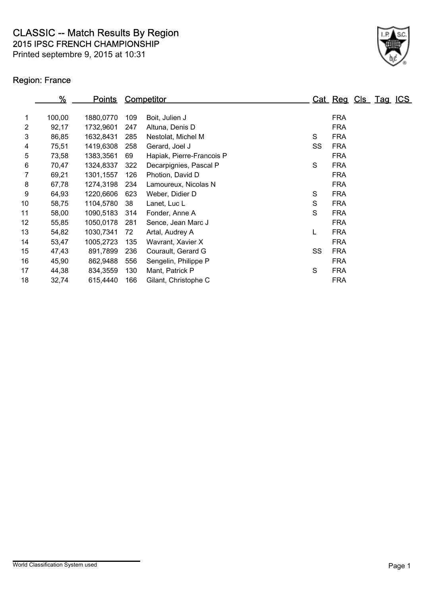2015 IPSC FRENCH CHAMPIONSHIP CLASSIC -- Match Results By Region

Printed septembre 9, 2015 at 10:31

## Region: France



|    | %      | <u>Points</u> |     | <b>Competitor</b>         |    |            | Cat Reg Cls Tag ICS |  |
|----|--------|---------------|-----|---------------------------|----|------------|---------------------|--|
|    |        |               |     |                           |    |            |                     |  |
| 1  | 100,00 | 1880,0770     | 109 | Boit, Julien J            |    | <b>FRA</b> |                     |  |
| 2  | 92,17  | 1732,9601     | 247 | Altuna, Denis D           |    | <b>FRA</b> |                     |  |
| 3  | 86,85  | 1632,8431     | 285 | Nestolat, Michel M        | S  | <b>FRA</b> |                     |  |
| 4  | 75,51  | 1419,6308     | 258 | Gerard, Joel J            | SS | <b>FRA</b> |                     |  |
| 5  | 73,58  | 1383,3561     | 69  | Hapiak, Pierre-Francois P |    | <b>FRA</b> |                     |  |
| 6  | 70,47  | 1324,8337     | 322 | Decarpignies, Pascal P    | S  | <b>FRA</b> |                     |  |
| 7  | 69,21  | 1301,1557     | 126 | Photion, David D          |    | <b>FRA</b> |                     |  |
| 8  | 67,78  | 1274,3198     | 234 | Lamoureux, Nicolas N      |    | <b>FRA</b> |                     |  |
| 9  | 64,93  | 1220,6606     | 623 | Weber, Didier D           | S  | <b>FRA</b> |                     |  |
| 10 | 58,75  | 1104,5780     | 38  | Lanet, Luc L              | S  | <b>FRA</b> |                     |  |
| 11 | 58,00  | 1090,5183     | 314 | Fonder, Anne A            | S  | <b>FRA</b> |                     |  |
| 12 | 55,85  | 1050,0178     | 281 | Sence, Jean Marc J        |    | <b>FRA</b> |                     |  |
| 13 | 54,82  | 1030,7341     | 72  | Artal, Audrey A           | L  | <b>FRA</b> |                     |  |
| 14 | 53,47  | 1005,2723     | 135 | Wavrant, Xavier X         |    | <b>FRA</b> |                     |  |
| 15 | 47,43  | 891,7899      | 236 | Courault, Gerard G        | SS | <b>FRA</b> |                     |  |
| 16 | 45,90  | 862,9488      | 556 | Sengelin, Philippe P      |    | <b>FRA</b> |                     |  |
| 17 | 44,38  | 834,3559      | 130 | Mant, Patrick P           | S  | <b>FRA</b> |                     |  |
| 18 | 32,74  | 615,4440      | 166 | Gilant, Christophe C      |    | <b>FRA</b> |                     |  |
|    |        |               |     |                           |    |            |                     |  |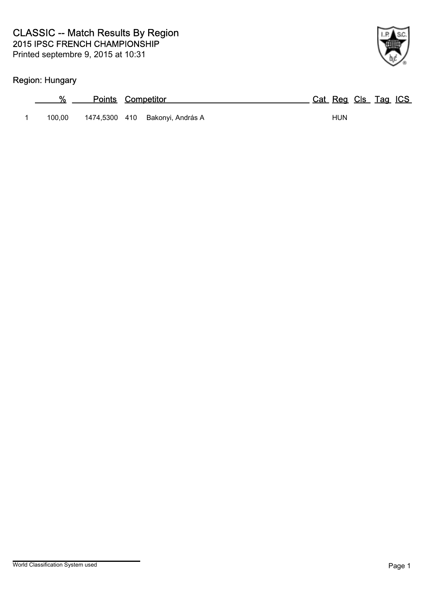## Region: Hungary

| %      | <b>Points Competitor</b>        | Cat Reg Cls Tag ICS |
|--------|---------------------------------|---------------------|
| 100.00 | 1474,5300 410 Bakonyi, András A | HUN                 |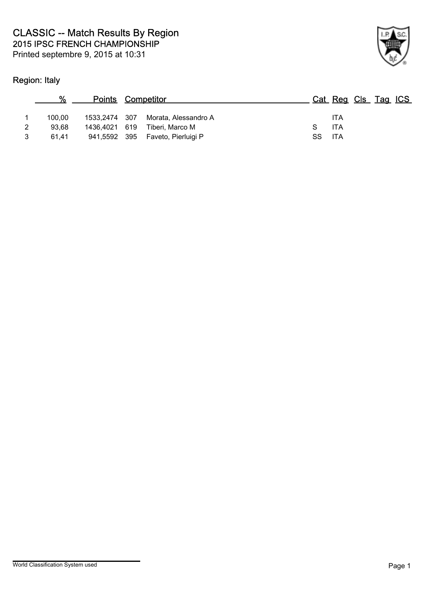## Region: Italy



|   |        | <b>Points Competitor</b> |                      |      | Cat Reg Cls Tag ICS |  |  |
|---|--------|--------------------------|----------------------|------|---------------------|--|--|
|   | 100.00 | 1533,2474 307            | Morata, Alessandro A |      | <b>ITA</b>          |  |  |
| 2 | 93.68  | 1436.4021 619            | Tiberi. Marco M      |      | <b>ITA</b>          |  |  |
|   | 61.41  | 941,5592 395             | Faveto. Pierluigi P  | SS . | - ITA               |  |  |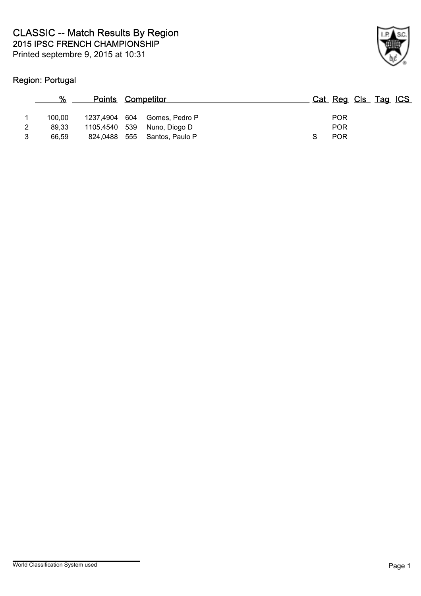## Region: Portugal



|   | %      | <b>Points Competitor</b> |                              |  | Cat Reg Cls Tag ICS |  |  |
|---|--------|--------------------------|------------------------------|--|---------------------|--|--|
|   | 100.00 |                          | 1237,4904 604 Gomes, Pedro P |  | <b>POR</b>          |  |  |
| 2 | 89.33  | 1105,4540 539            | Nuno, Diogo D                |  | <b>POR</b>          |  |  |
| 3 | 66.59  |                          | 824,0488 555 Santos, Paulo P |  | <b>POR</b>          |  |  |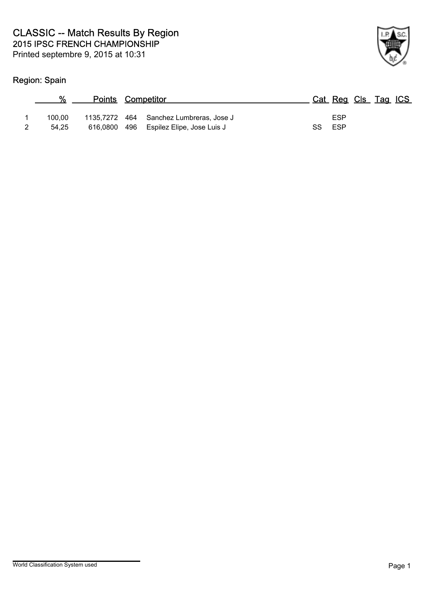## Region: Spain

| $\frac{0}{0}$ | <b>Points Competitor</b> |                                         |     | Cat Reg Cls Tag ICS |  |  |
|---------------|--------------------------|-----------------------------------------|-----|---------------------|--|--|
| 100.00        |                          | 1135,7272 464 Sanchez Lumbreras, Jose J |     | ESP                 |  |  |
| 54.25         |                          | 616,0800 496 Espilez Elipe, Jose Luis J | SS. | ESP                 |  |  |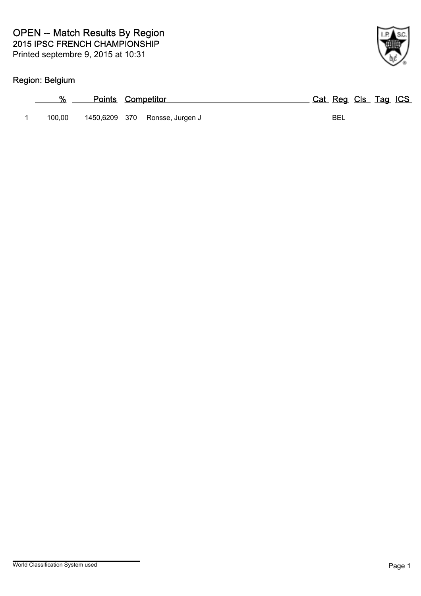## Region: Belgium

| %      | <b>Points Competitor</b>       | Cat Reg Cls Tag ICS |
|--------|--------------------------------|---------------------|
| 100.00 | 1450,6209 370 Ronsse, Jurgen J | BEL                 |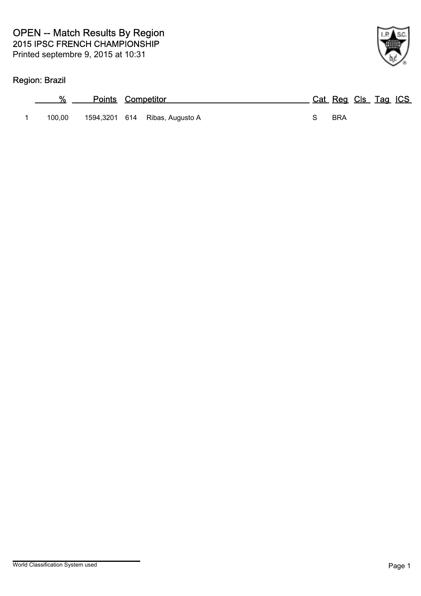## Region: Brazil

| %      | <b>Points Competitor</b>       | Cat Reg Cls Tag ICS |
|--------|--------------------------------|---------------------|
| 100.00 | 1594,3201 614 Ribas, Augusto A | <b>BRA</b>          |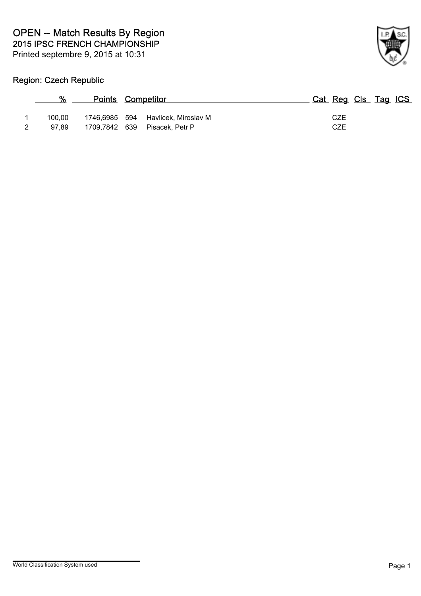

## Region: Czech Republic

| %               | <b>Points Competitor</b> |                                                       | Cat Reg Cls Tag ICS |
|-----------------|--------------------------|-------------------------------------------------------|---------------------|
| 100.00<br>97.89 | 1709,7842 639            | 1746,6985 594 Havlicek, Miroslav M<br>Pisacek, Petr P | CZE<br>CZE          |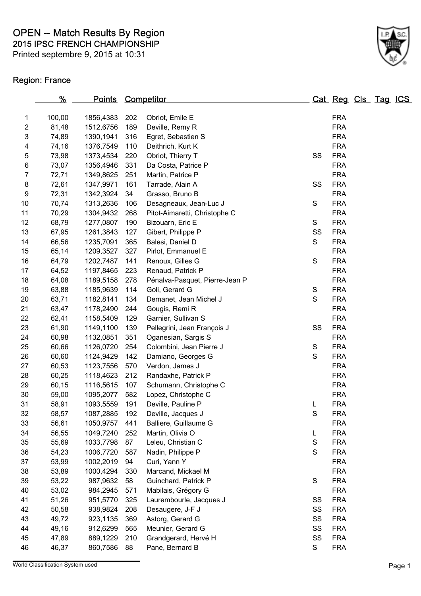Printed septembre 9, 2015 at 10:31

## Region: France



|                           | $\frac{9}{6}$ | <u>Points</u> |     | Competitor                     |               | Cat Reg Cls Tag ICS |  |  |
|---------------------------|---------------|---------------|-----|--------------------------------|---------------|---------------------|--|--|
| 1                         | 100,00        | 1856,4383     | 202 | Obriot, Emile E                |               | <b>FRA</b>          |  |  |
| $\boldsymbol{2}$          | 81,48         | 1512,6756     | 189 | Deville, Remy R                |               | <b>FRA</b>          |  |  |
| $\ensuremath{\mathsf{3}}$ | 74,89         | 1390,1941     | 316 | Egret, Sebastien S             |               | <b>FRA</b>          |  |  |
| 4                         | 74,16         | 1376,7549     | 110 | Deithrich, Kurt K              |               | <b>FRA</b>          |  |  |
| $\mathbf 5$               | 73,98         | 1373,4534     | 220 | Obriot, Thierry T              | SS            | <b>FRA</b>          |  |  |
| 6                         | 73,07         | 1356,4946     | 331 | Da Costa, Patrice P            |               | <b>FRA</b>          |  |  |
| $\boldsymbol{7}$          | 72,71         | 1349,8625     | 251 | Martin, Patrice P              |               | <b>FRA</b>          |  |  |
| 8                         | 72,61         | 1347,9971     | 161 | Tarrade, Alain A               | SS            | <b>FRA</b>          |  |  |
| 9                         | 72,31         | 1342,3924     | 34  | Grasso, Bruno B                |               | <b>FRA</b>          |  |  |
| 10                        | 70,74         | 1313,2636     | 106 | Desagneaux, Jean-Luc J         | ${\mathsf S}$ | <b>FRA</b>          |  |  |
| 11                        | 70,29         | 1304,9432     | 268 | Pitot-Aimaretti, Christophe C  |               | <b>FRA</b>          |  |  |
| 12                        | 68,79         | 1277,0807     | 190 | Bizouarn, Eric E               | S             | <b>FRA</b>          |  |  |
| 13                        | 67,95         | 1261,3843     | 127 | Gibert, Philippe P             | SS            | <b>FRA</b>          |  |  |
| 14                        | 66,56         | 1235,7091     | 365 | Balesi, Daniel D               | S             | <b>FRA</b>          |  |  |
| 15                        | 65,14         | 1209,3527     | 327 | Pirlot, Emmanuel E             |               | <b>FRA</b>          |  |  |
| 16                        | 64,79         | 1202,7487     | 141 | Renoux, Gilles G               | ${\mathsf S}$ | <b>FRA</b>          |  |  |
| 17                        | 64,52         | 1197,8465     | 223 | Renaud, Patrick P              |               | <b>FRA</b>          |  |  |
| 18                        | 64,08         | 1189,5158     | 278 | Pénalva-Pasquet, Pierre-Jean P |               | <b>FRA</b>          |  |  |
| 19                        | 63,88         | 1185,9639     | 114 | Goli, Gerard G                 | S             | <b>FRA</b>          |  |  |
| 20                        | 63,71         | 1182,8141     | 134 | Demanet, Jean Michel J         | S             | <b>FRA</b>          |  |  |
| 21                        | 63,47         | 1178,2490     | 244 | Gougis, Remi R                 |               | <b>FRA</b>          |  |  |
| 22                        | 62,41         | 1158,5409     | 129 | Garnier, Sullivan S            |               | <b>FRA</b>          |  |  |
| 23                        | 61,90         | 1149,1100     | 139 | Pellegrini, Jean François J    | SS            | <b>FRA</b>          |  |  |
| 24                        | 60,98         | 1132,0851     | 351 | Oganesian, Sargis S            |               | <b>FRA</b>          |  |  |
| 25                        | 60,66         | 1126,0720     | 254 | Colombini, Jean Pierre J       | $\mathbb S$   | <b>FRA</b>          |  |  |
| 26                        | 60,60         | 1124,9429     | 142 | Damiano, Georges G             | $\mathsf S$   | <b>FRA</b>          |  |  |
| 27                        | 60,53         | 1123,7556     | 570 | Verdon, James J                |               | <b>FRA</b>          |  |  |
| 28                        | 60,25         | 1118,4623     | 212 | Randaxhe, Patrick P            |               | <b>FRA</b>          |  |  |
| 29                        | 60,15         | 1116,5615     | 107 | Schumann, Christophe C         |               | <b>FRA</b>          |  |  |
| 30                        | 59,00         | 1095,2077     | 582 | Lopez, Christophe C            |               | <b>FRA</b>          |  |  |
| 31                        | 58,91         | 1093,5559     | 191 | Deville, Pauline P             | L             | <b>FRA</b>          |  |  |
| 32                        | 58,57         | 1087,2885     | 192 | Deville, Jacques J             | $\mathsf S$   | <b>FRA</b>          |  |  |
| 33                        | 56,61         | 1050,9757     | 441 | Balliere, Guillaume G          |               | <b>FRA</b>          |  |  |
| 34                        | 56,55         | 1049,7240     | 252 | Martin, Olivia O               | L             | <b>FRA</b>          |  |  |
| 35                        | 55,69         | 1033,7798     | 87  | Leleu, Christian C             | S             | <b>FRA</b>          |  |  |
| 36                        | 54,23         | 1006,7720     | 587 | Nadin, Philippe P              | S             | <b>FRA</b>          |  |  |
| 37                        | 53,99         | 1002,2019     | 94  | Curi, Yann Y                   |               | <b>FRA</b>          |  |  |
| 38                        | 53,89         | 1000,4294     | 330 | Marcand, Mickael M             |               | <b>FRA</b>          |  |  |
| 39                        | 53,22         | 987,9632      | 58  | Guinchard, Patrick P           | ${\mathsf S}$ | <b>FRA</b>          |  |  |
| 40                        | 53,02         | 984,2945      | 571 | Mabilais, Grégory G            |               | <b>FRA</b>          |  |  |
| 41                        | 51,26         | 951,5770      | 325 | Laurembourle, Jacques J        | SS            | <b>FRA</b>          |  |  |
| 42                        | 50,58         | 938,9824      | 208 | Desaugere, J-F J               | SS            | <b>FRA</b>          |  |  |
| 43                        | 49,72         | 923,1135      | 369 | Astorg, Gerard G               | SS            | <b>FRA</b>          |  |  |
| 44                        | 49,16         | 912,6299      | 565 | Meunier, Gerard G              | SS            | <b>FRA</b>          |  |  |
| 45                        | 47,89         | 889,1229      | 210 | Grandgerard, Hervé H           | SS            | <b>FRA</b>          |  |  |
| 46                        | 46,37         | 860,7586      | 88  | Pane, Bernard B                | S             | <b>FRA</b>          |  |  |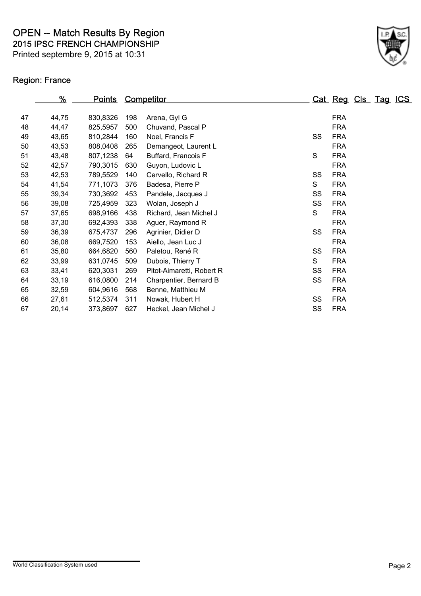Printed septembre 9, 2015 at 10:31

## Region: France



| %     | <u>Points</u> |     |                           |                   |            |                                                          |                     |
|-------|---------------|-----|---------------------------|-------------------|------------|----------------------------------------------------------|---------------------|
| 44,75 | 830,8326      | 198 | Arena, Gyl G              |                   | <b>FRA</b> |                                                          |                     |
| 44,47 | 825,5957      | 500 | Chuvand, Pascal P         |                   | <b>FRA</b> |                                                          |                     |
| 43,65 | 810,2844      | 160 | Noel, Francis F           |                   | <b>FRA</b> |                                                          |                     |
| 43,53 | 808,0408      | 265 | Demangeot, Laurent L      |                   | <b>FRA</b> |                                                          |                     |
| 43,48 | 807,1238      | 64  | Buffard, Francois F       | $\mathsf S$       | <b>FRA</b> |                                                          |                     |
| 42,57 | 790,3015      | 630 | Guyon, Ludovic L          |                   | <b>FRA</b> |                                                          |                     |
| 42,53 | 789,5529      | 140 | Cervello, Richard R       |                   | <b>FRA</b> |                                                          |                     |
| 41,54 | 771,1073      | 376 | Badesa, Pierre P          | S                 | <b>FRA</b> |                                                          |                     |
| 39,34 | 730,3692      | 453 | Pandele, Jacques J        |                   | <b>FRA</b> |                                                          |                     |
| 39,08 | 725,4959      | 323 | Wolan, Joseph J           |                   | <b>FRA</b> |                                                          |                     |
| 37,65 | 698,9166      | 438 | Richard, Jean Michel J    | S                 | <b>FRA</b> |                                                          |                     |
| 37,30 | 692,4393      | 338 | Aguer, Raymond R          |                   | <b>FRA</b> |                                                          |                     |
| 36,39 | 675,4737      | 296 | Agrinier, Didier D        |                   | <b>FRA</b> |                                                          |                     |
| 36,08 | 669,7520      | 153 | Aiello, Jean Luc J        |                   | <b>FRA</b> |                                                          |                     |
| 35,80 | 664,6820      | 560 | Paletou, René R           |                   | <b>FRA</b> |                                                          |                     |
| 33,99 | 631,0745      | 509 | Dubois, Thierry T         | S                 | <b>FRA</b> |                                                          |                     |
| 33,41 | 620,3031      | 269 | Pitot-Aimaretti, Robert R |                   | <b>FRA</b> |                                                          |                     |
| 33,19 | 616,0800      | 214 | Charpentier, Bernard B    |                   | <b>FRA</b> |                                                          |                     |
| 32,59 | 604,9616      | 568 | Benne, Matthieu M         |                   | <b>FRA</b> |                                                          |                     |
| 27,61 | 512,5374      | 311 | Nowak, Hubert H           |                   | <b>FRA</b> |                                                          |                     |
| 20,14 | 373,8697      | 627 | Heckel, Jean Michel J     |                   | <b>FRA</b> |                                                          |                     |
|       |               |     |                           | <b>Competitor</b> |            | SS<br>SS<br>SS<br>SS<br>SS<br>SS<br>SS<br>SS<br>SS<br>SS | Cat Reg Cls Tag ICS |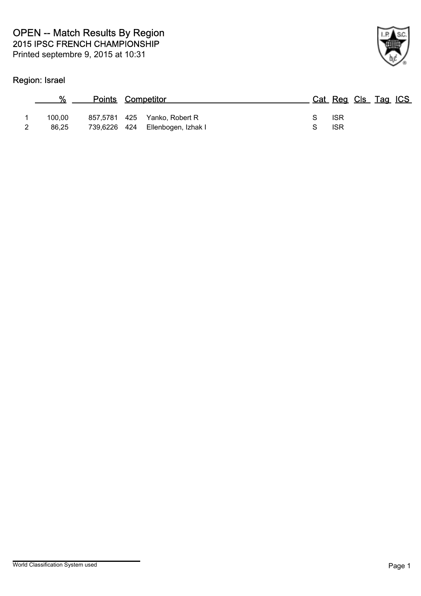## Region: Israel



|        | $\alpha$<br><b>Points Competitor</b> |                                                                  |   | Cat Reg Cls Tag ICS |  |  |
|--------|--------------------------------------|------------------------------------------------------------------|---|---------------------|--|--|
| 100.00 | 86.25                                | 857,5781 425 Yanko, Robert R<br>739,6226 424 Ellenbogen, Izhak I | S | -ISR<br><b>ISR</b>  |  |  |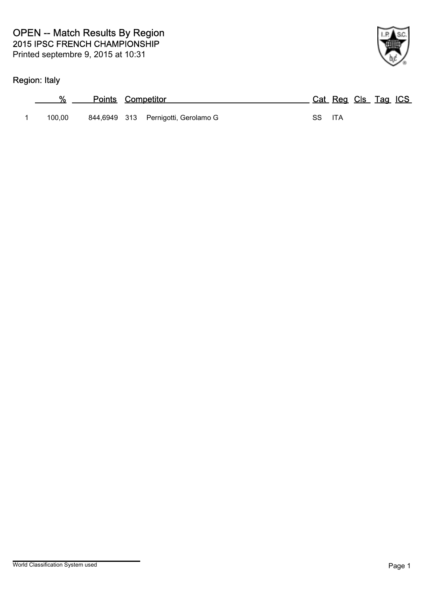## Region: Italy

| %      | <b>Points Competitor</b> |                                     |        | Cat Reg Cls Tag ICS |  |  |
|--------|--------------------------|-------------------------------------|--------|---------------------|--|--|
| 100.00 |                          | 844,6949 313 Pernigotti, Gerolamo G | SS ITA |                     |  |  |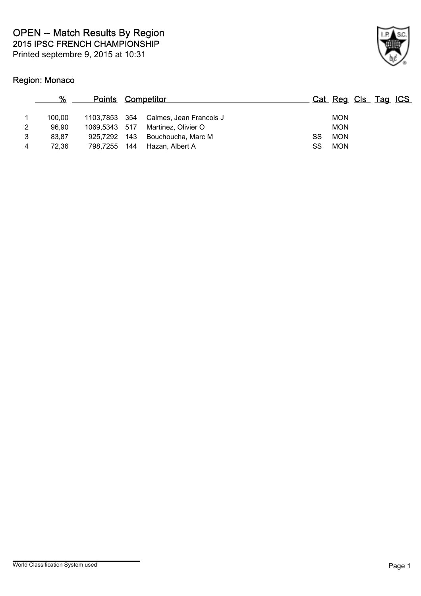## Region: Monaco



| 100.00 |     |                                                |                                                                      | <b>MON</b> |                     |
|--------|-----|------------------------------------------------|----------------------------------------------------------------------|------------|---------------------|
| 96.90  |     | Martinez, Olivier O                            |                                                                      | <b>MON</b> |                     |
| 83.87  |     | Bouchoucha, Marc M                             | SS                                                                   | <b>MON</b> |                     |
| 72.36  | 144 | Hazan, Albert A                                | SS                                                                   | <b>MON</b> |                     |
|        |     | 1069.5343 517<br>- 143<br>925.7292<br>798.7255 | <b>Points Competitor</b><br>1103,7853 354<br>Calmes, Jean Francois J |            | Cat Reg Cls Tag ICS |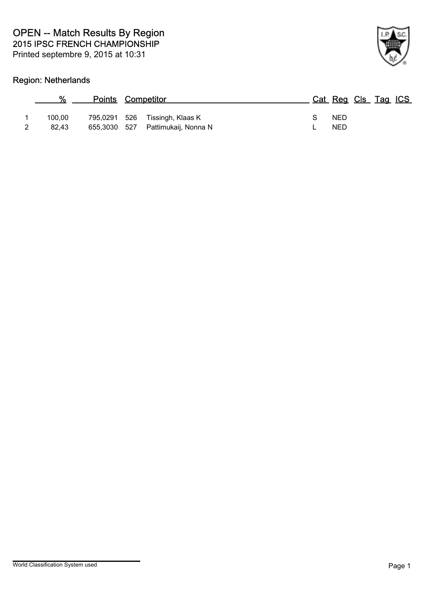## Region: Netherlands



| $\%$   |              | <b>Points Competitor</b>          |  | Cat Reg Cls Tag ICS |  |  |
|--------|--------------|-----------------------------------|--|---------------------|--|--|
| 100.00 | 795,0291 526 | Tissingh, Klaas K                 |  | <b>NED</b>          |  |  |
| 82.43  |              | 655,3030 527 Pattimukaij, Nonna N |  | <b>NED</b>          |  |  |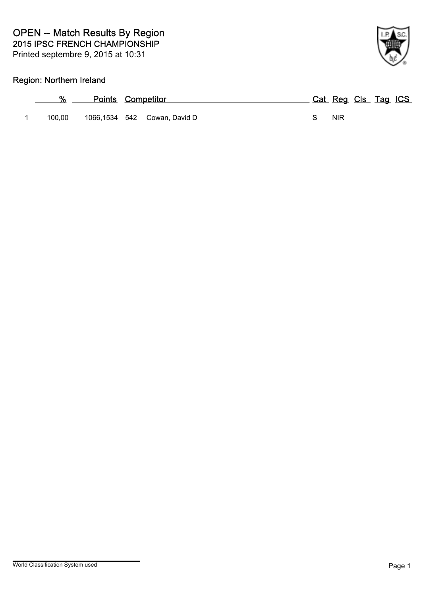### Region: Northern Ireland

| %<br>the control of the control of | <b>Points Competitor</b> |                              |   |       | Cat Reg Cls Tag ICS |  |
|------------------------------------|--------------------------|------------------------------|---|-------|---------------------|--|
| 100.00                             |                          | 1066,1534 542 Cowan, David D | S | - NIR |                     |  |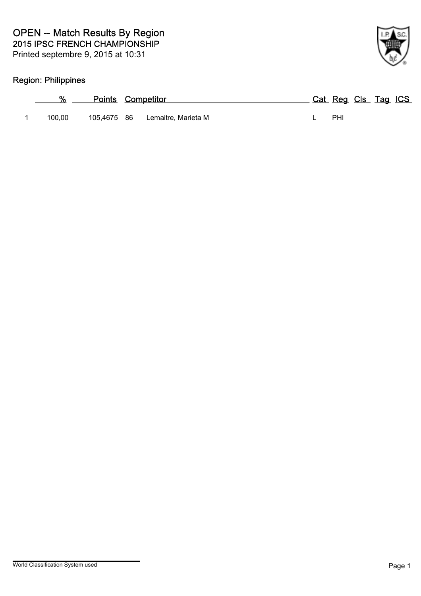## Region: Philippines

| %      | <b>Points Competitor</b> |                                 | Cat Reg Cls Tag ICS |  |  |
|--------|--------------------------|---------------------------------|---------------------|--|--|
| 100.00 |                          | 105,4675 86 Lemaitre, Marieta M | PHI                 |  |  |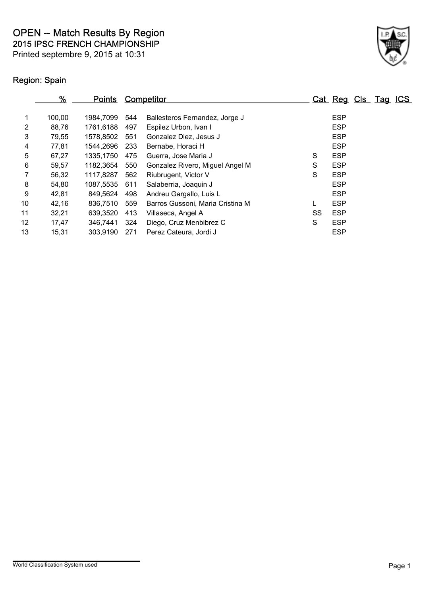Printed septembre 9, 2015 at 10:31

## Region: Spain

|                | ℅      | <u>Points</u> |      | Competitor                       |    | Cat Reg Cls Tag ICS |  |  |
|----------------|--------|---------------|------|----------------------------------|----|---------------------|--|--|
|                | 100,00 | 1984.7099     | 544  | Ballesteros Fernandez, Jorge J   |    | <b>ESP</b>          |  |  |
| $\overline{2}$ | 88,76  | 1761,6188     | 497  | Espilez Urbon, Ivan I            |    | <b>ESP</b>          |  |  |
| 3              | 79,55  | 1578.8502     | 551  | Gonzalez Diez, Jesus J           |    | <b>ESP</b>          |  |  |
| 4              | 77,81  | 1544.2696     | -233 | Bernabe, Horaci H                |    | <b>ESP</b>          |  |  |
| 5              | 67,27  | 1335,1750     | 475  | Guerra, Jose Maria J             | S  | <b>ESP</b>          |  |  |
| 6              | 59,57  | 1182,3654     | 550  | Gonzalez Rivero, Miguel Angel M  | S  | <b>ESP</b>          |  |  |
|                | 56,32  | 1117,8287     | 562  | Riubrugent, Victor V             | S  | <b>ESP</b>          |  |  |
| 8              | 54,80  | 1087,5535     | 611  | Salaberria, Joaquin J            |    | <b>ESP</b>          |  |  |
| 9              | 42,81  | 849.5624      | 498  | Andreu Gargallo, Luis L          |    | <b>ESP</b>          |  |  |
| 10             | 42,16  | 836,7510      | 559  | Barros Gussoni, Maria Cristina M | L  | <b>ESP</b>          |  |  |
| 11             | 32,21  | 639,3520      | 413  | Villaseca, Angel A               | SS | <b>ESP</b>          |  |  |
| 12             | 17,47  | 346.7441      | 324  | Diego, Cruz Menbibrez C          | S  | <b>ESP</b>          |  |  |
| 13             | 15,31  | 303,9190      | 271  | Perez Cateura, Jordi J           |    | <b>ESP</b>          |  |  |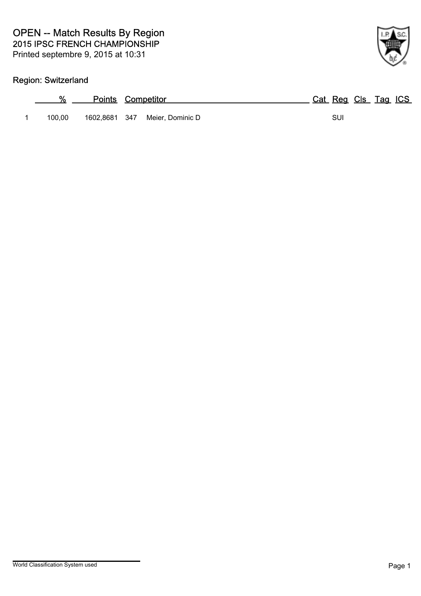## Region: Switzerland

| %      | <b>Points Competitor</b>       | Cat Reg Cls Tag ICS |
|--------|--------------------------------|---------------------|
| 100.00 | 1602,8681 347 Meier, Dominic D | SUI                 |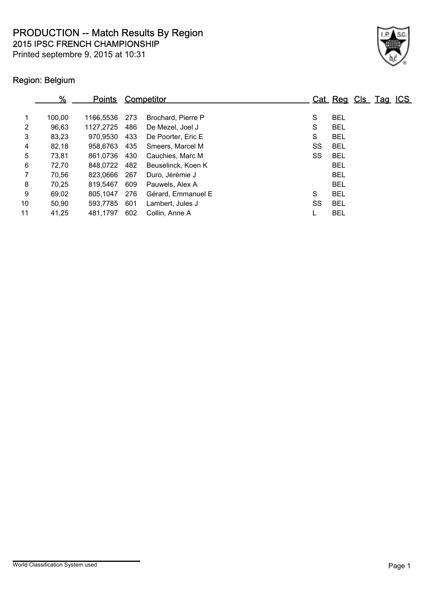Printed septembre 9, 2015 at 10:31



## Region: Belgium

|                | %      | <u>Points</u> |     | Competitor         |    | Cat Reg Cls Tag ICS |  |  |
|----------------|--------|---------------|-----|--------------------|----|---------------------|--|--|
| $\mathbf 1$    | 100,00 | 1166.5536     | 273 | Brochard, Pierre P | S  | <b>BEL</b>          |  |  |
| $\overline{2}$ | 96,63  | 1127,2725     | 486 | De Mezel, Joel J   | S  | <b>BEL</b>          |  |  |
| 3              | 83,23  | 970,9530      | 433 | De Poorter, Eric E | S  | <b>BEL</b>          |  |  |
| $\overline{4}$ | 82,18  | 958.6763      | 435 | Smeers, Marcel M   | SS | <b>BEL</b>          |  |  |
| 5              | 73,81  | 861.0736      | 430 | Cauchies, Marc M   | SS | <b>BEL</b>          |  |  |
| 6              | 72,70  | 848,0722      | 482 | Beuselinck, Koen K |    | <b>BEL</b>          |  |  |
| $\overline{7}$ | 70,56  | 823,0666      | 267 | Duro, Jérémie J    |    | <b>BEL</b>          |  |  |
| 8              | 70,25  | 819,5467      | 609 | Pauwels, Alex A    |    | <b>BEL</b>          |  |  |
| 9              | 69,02  | 805.1047      | 276 | Gérard, Emmanuel E | S  | <b>BEL</b>          |  |  |
| 10             | 50.90  | 593,7785      | 601 | Lambert, Jules J   | SS | <b>BEL</b>          |  |  |
| 11             | 41,25  | 481.1797      | 602 | Collin, Anne A     |    | <b>BEL</b>          |  |  |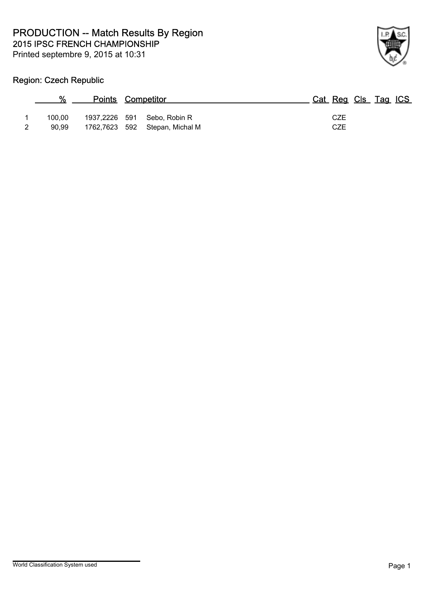

## Region: Czech Republic

| $\frac{0}{0}$ | <b>Points Competitor</b>       | Cat Reg Cls Tag ICS |
|---------------|--------------------------------|---------------------|
| 100.00        | 1937,2226 591 Sebo, Robin R    | CZE                 |
| 90.99         | 1762,7623 592 Stepan, Michal M | CZE                 |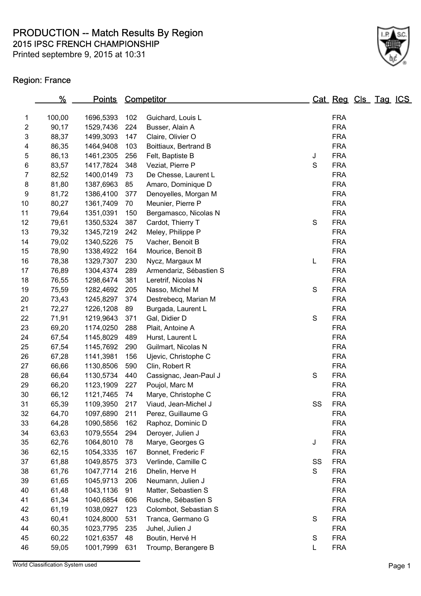Printed septembre 9, 2015 at 10:31



## Region: France

|                         | <u>%</u> | <u>Points</u> |     | Competitor              |    |            | <u>Cat Reg Cls Tag ICS</u> |  |
|-------------------------|----------|---------------|-----|-------------------------|----|------------|----------------------------|--|
| 1                       | 100,00   | 1696,5393     | 102 | Guichard, Louis L       |    | <b>FRA</b> |                            |  |
| $\overline{\mathbf{c}}$ | 90,17    | 1529,7436     | 224 | Busser, Alain A         |    | <b>FRA</b> |                            |  |
| 3                       | 88,37    | 1499,3093     | 147 | Claire, Olivier O       |    | <b>FRA</b> |                            |  |
| 4                       | 86,35    | 1464,9408     | 103 | Boittiaux, Bertrand B   |    | <b>FRA</b> |                            |  |
| 5                       | 86,13    | 1461,2305     | 256 | Felt, Baptiste B        | J  | <b>FRA</b> |                            |  |
| 6                       | 83,57    | 1417,7824     | 348 | Veziat, Pierre P        | S  | <b>FRA</b> |                            |  |
| 7                       | 82,52    | 1400,0149     | 73  | De Chesse, Laurent L    |    | <b>FRA</b> |                            |  |
| 8                       | 81,80    | 1387,6963     | 85  | Amaro, Dominique D      |    | <b>FRA</b> |                            |  |
| $\boldsymbol{9}$        | 81,72    | 1386,4100     | 377 | Denoyelles, Morgan M    |    | <b>FRA</b> |                            |  |
| 10                      | 80,27    | 1361,7409     | 70  | Meunier, Pierre P       |    | <b>FRA</b> |                            |  |
| 11                      | 79,64    | 1351,0391     | 150 | Bergamasco, Nicolas N   |    | <b>FRA</b> |                            |  |
| 12                      | 79,61    | 1350,5324     | 387 | Cardot, Thierry T       | S  | <b>FRA</b> |                            |  |
| 13                      | 79,32    | 1345,7219     | 242 | Meley, Philippe P       |    | <b>FRA</b> |                            |  |
| 14                      | 79,02    | 1340,5226     | 75  | Vacher, Benoit B        |    | <b>FRA</b> |                            |  |
| 15                      | 78,90    | 1338,4922     | 164 | Mourice, Benoit B       |    | <b>FRA</b> |                            |  |
| 16                      | 78,38    | 1329,7307     | 230 | Nycz, Margaux M         | L  | <b>FRA</b> |                            |  |
| 17                      | 76,89    | 1304,4374     | 289 | Armendariz, Sébastien S |    | <b>FRA</b> |                            |  |
| 18                      | 76,55    | 1298,6474     | 381 | Leretrif, Nicolas N     |    | <b>FRA</b> |                            |  |
| 19                      | 75,59    | 1282,4692     | 205 | Nasso, Michel M         | S  | <b>FRA</b> |                            |  |
| 20                      | 73,43    | 1245,8297     | 374 | Destrebecq, Marian M    |    | <b>FRA</b> |                            |  |
| 21                      | 72,27    | 1226,1208     | 89  | Burgada, Laurent L      |    | <b>FRA</b> |                            |  |
| 22                      | 71,91    | 1219,9643     | 371 | Gal, Didier D           | S  | <b>FRA</b> |                            |  |
| 23                      | 69,20    | 1174,0250     | 288 | Plait, Antoine A        |    | <b>FRA</b> |                            |  |
| 24                      | 67,54    | 1145,8029     | 489 | Hurst, Laurent L        |    | <b>FRA</b> |                            |  |
| 25                      | 67,54    | 1145,7692     | 290 | Guilmart, Nicolas N     |    | <b>FRA</b> |                            |  |
| 26                      | 67,28    | 1141,3981     | 156 | Ujevic, Christophe C    |    | <b>FRA</b> |                            |  |
| 27                      | 66,66    | 1130,8506     | 590 | Clin, Robert R          |    | <b>FRA</b> |                            |  |
| 28                      | 66,64    | 1130,5734     | 440 | Cassignac, Jean-Paul J  | S  | <b>FRA</b> |                            |  |
| 29                      | 66,20    | 1123,1909     | 227 | Poujol, Marc M          |    | <b>FRA</b> |                            |  |
| 30                      | 66,12    | 1121,7465     | 74  | Marye, Christophe C     |    | <b>FRA</b> |                            |  |
| 31                      | 65,39    | 1109,3950     | 217 | Viaud, Jean-Michel J    | SS | <b>FRA</b> |                            |  |
| 32                      | 64,70    | 1097,6890     | 211 | Perez, Guillaume G      |    | <b>FRA</b> |                            |  |
| 33                      | 64,28    | 1090,5856     | 162 | Raphoz, Dominic D       |    | <b>FRA</b> |                            |  |
| 34                      | 63,63    | 1079,5554     | 294 | Deroyer, Julien J       |    | <b>FRA</b> |                            |  |
| 35                      | 62,76    | 1064,8010     | 78  | Marye, Georges G        | J  | <b>FRA</b> |                            |  |
| 36                      | 62,15    | 1054,3335     | 167 | Bonnet, Frederic F      |    | <b>FRA</b> |                            |  |
| 37                      | 61,88    | 1049,8575     | 373 | Verlinde, Camille C     | SS | <b>FRA</b> |                            |  |
| 38                      | 61,76    | 1047,7714     | 216 | Dhelin, Herve H         | S  | <b>FRA</b> |                            |  |
| 39                      | 61,65    | 1045,9713     | 206 | Neumann, Julien J       |    | <b>FRA</b> |                            |  |
| 40                      | 61,48    | 1043,1136     | 91  | Matter, Sebastien S     |    | <b>FRA</b> |                            |  |
| 41                      | 61,34    | 1040,6854     | 606 | Rusche, Sébastien S     |    | <b>FRA</b> |                            |  |
| 42                      | 61,19    | 1038,0927     | 123 | Colombot, Sebastian S   |    | <b>FRA</b> |                            |  |
| 43                      | 60,41    | 1024,8000     | 531 | Tranca, Germano G       | S  | <b>FRA</b> |                            |  |
| 44                      | 60,35    | 1023,7795     | 235 | Juhel, Julien J         |    | <b>FRA</b> |                            |  |
| 45                      | 60,22    | 1021,6357     | 48  | Boutin, Hervé H         | S  | <b>FRA</b> |                            |  |
| 46                      | 59,05    | 1001,7999     | 631 | Troump, Berangere B     | L  | <b>FRA</b> |                            |  |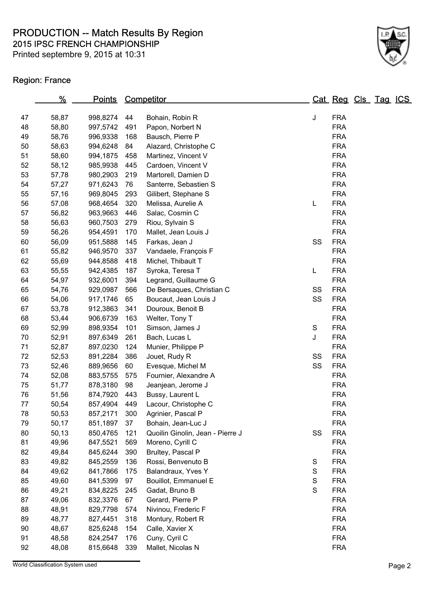Printed septembre 9, 2015 at 10:31



### Region: France

|    | <u>%</u> | <u>Points</u> |           | Competitor                       |               | <u>Cat Reg Cls Tag ICS</u> |  |  |
|----|----------|---------------|-----------|----------------------------------|---------------|----------------------------|--|--|
| 47 |          | 998,8274      |           |                                  |               | <b>FRA</b>                 |  |  |
| 48 | 58,87    | 997,5742      | 44<br>491 | Bohain, Robin R                  | J             | <b>FRA</b>                 |  |  |
| 49 | 58,80    |               |           | Papon, Norbert N                 |               | <b>FRA</b>                 |  |  |
|    | 58,76    | 996,9338      | 168       | Bausch, Pierre P                 |               |                            |  |  |
| 50 | 58,63    | 994,6248      | 84        | Alazard, Christophe C            |               | <b>FRA</b>                 |  |  |
| 51 | 58,60    | 994,1875      | 458       | Martinez, Vincent V              |               | <b>FRA</b>                 |  |  |
| 52 | 58,12    | 985,9938      | 445       | Cardoen, Vincent V               |               | <b>FRA</b>                 |  |  |
| 53 | 57,78    | 980,2903      | 219       | Martorell, Damien D              |               | <b>FRA</b>                 |  |  |
| 54 | 57,27    | 971,6243      | 76        | Santerre, Sebastien S            |               | <b>FRA</b>                 |  |  |
| 55 | 57,16    | 969,8045      | 293       | Gilibert, Stephane S             |               | <b>FRA</b>                 |  |  |
| 56 | 57,08    | 968,4654      | 320       | Melissa, Aurelie A               | L             | <b>FRA</b>                 |  |  |
| 57 | 56,82    | 963,9663      | 446       | Salac, Cosmin C                  |               | <b>FRA</b>                 |  |  |
| 58 | 56,63    | 960,7503      | 279       | Riou, Sylvain S                  |               | <b>FRA</b>                 |  |  |
| 59 | 56,26    | 954,4591      | 170       | Mallet, Jean Louis J             |               | <b>FRA</b>                 |  |  |
| 60 | 56,09    | 951,5888      | 145       | Farkas, Jean J                   | SS            | <b>FRA</b>                 |  |  |
| 61 | 55,82    | 946,9570      | 337       | Vandaele, François F             |               | <b>FRA</b>                 |  |  |
| 62 | 55,69    | 944,8588      | 418       | Michel, Thibault T               |               | <b>FRA</b>                 |  |  |
| 63 | 55,55    | 942,4385      | 187       | Syroka, Teresa T                 | L             | <b>FRA</b>                 |  |  |
| 64 | 54,97    | 932,6001      | 394       | Legrand, Guillaume G             |               | <b>FRA</b>                 |  |  |
| 65 | 54,76    | 929,0987      | 566       | De Bersaques, Christian C        | SS            | <b>FRA</b>                 |  |  |
| 66 | 54,06    | 917,1746      | 65        | Boucaut, Jean Louis J            | SS            | <b>FRA</b>                 |  |  |
| 67 | 53,78    | 912,3863      | 341       | Douroux, Benoit B                |               | <b>FRA</b>                 |  |  |
| 68 | 53,44    | 906,6739      | 163       | Welter, Tony T                   |               | <b>FRA</b>                 |  |  |
| 69 | 52,99    | 898,9354      | 101       | Simson, James J                  | S             | <b>FRA</b>                 |  |  |
| 70 | 52,91    | 897,6349      | 261       | Bach, Lucas L                    | J             | <b>FRA</b>                 |  |  |
| 71 | 52,87    | 897,0230      | 124       | Munier, Philippe P               |               | <b>FRA</b>                 |  |  |
| 72 | 52,53    | 891,2284      | 386       | Jouet, Rudy R                    | SS            | <b>FRA</b>                 |  |  |
| 73 | 52,46    | 889,9656      | 60        | Evesque, Michel M                | SS            | <b>FRA</b>                 |  |  |
| 74 | 52,08    | 883,5755      | 575       | Fournier, Alexandre A            |               | <b>FRA</b>                 |  |  |
| 75 | 51,77    | 878,3180      | 98        | Jeanjean, Jerome J               |               | <b>FRA</b>                 |  |  |
| 76 | 51,56    | 874,7920      | 443       | Bussy, Laurent L                 |               | <b>FRA</b>                 |  |  |
| 77 | 50,54    | 857,4904      | 449       | Lacour, Christophe C             |               | <b>FRA</b>                 |  |  |
| 78 | 50,53    | 857,2171      | 300       | Agrinier, Pascal P               |               | <b>FRA</b>                 |  |  |
| 79 | 50,17    | 851,1897      | 37        | Bohain, Jean-Luc J               |               | <b>FRA</b>                 |  |  |
| 80 | 50,13    | 850,4765      | 121       | Quoilin Ginolin, Jean - Pierre J | SS            | <b>FRA</b>                 |  |  |
| 81 | 49,96    | 847,5521      | 569       | Moreno, Cyrill C                 |               | <b>FRA</b>                 |  |  |
| 82 | 49,84    | 845,6244      | 390       | Brultey, Pascal P                |               | <b>FRA</b>                 |  |  |
| 83 | 49,82    | 845,2559      | 136       | Rossi, Benvenuto B               | S             | <b>FRA</b>                 |  |  |
| 84 | 49,62    | 841,7866      | 175       | Balandraux, Yves Y               | S             | <b>FRA</b>                 |  |  |
| 85 | 49,60    | 841,5399      | 97        | Bouillot, Emmanuel E             | ${\mathsf S}$ | <b>FRA</b>                 |  |  |
| 86 | 49,21    | 834,8225      | 245       | Gadat, Bruno B                   | $\mathsf S$   | <b>FRA</b>                 |  |  |
| 87 | 49,06    | 832,3376      | 67        | Gerard, Pierre P                 |               | <b>FRA</b>                 |  |  |
| 88 | 48,91    | 829,7798      | 574       | Nivinou, Frederic F              |               | <b>FRA</b>                 |  |  |
| 89 | 48,77    | 827,4451      | 318       | Montury, Robert R                |               | <b>FRA</b>                 |  |  |
| 90 | 48,67    | 825,6248      | 154       | Calle, Xavier X                  |               | <b>FRA</b>                 |  |  |
| 91 | 48,58    | 824,2547      | 176       | Cuny, Cyril C                    |               | <b>FRA</b>                 |  |  |
| 92 | 48,08    | 815,6648      | 339       | Mallet, Nicolas N                |               | <b>FRA</b>                 |  |  |
|    |          |               |           |                                  |               |                            |  |  |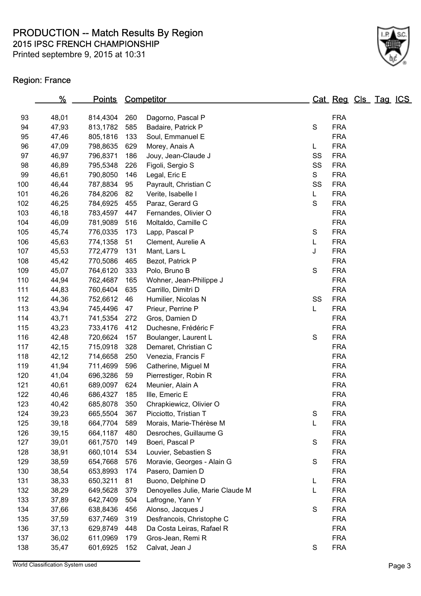Printed septembre 9, 2015 at 10:31



### Region: France

|     | <u>%</u> | <u>Points</u> |     | <b>Competitor</b>                |             | <u>Cat Reg Cls Tag ICS</u> |  |  |
|-----|----------|---------------|-----|----------------------------------|-------------|----------------------------|--|--|
| 93  | 48,01    | 814,4304      | 260 | Dagorno, Pascal P                |             | <b>FRA</b>                 |  |  |
| 94  | 47,93    | 813,1782      | 585 | Badaire, Patrick P               | S           | <b>FRA</b>                 |  |  |
| 95  | 47,46    | 805,1816      | 133 | Soul, Emmanuel E                 |             | <b>FRA</b>                 |  |  |
| 96  | 47,09    | 798,8635      | 629 |                                  | L           | <b>FRA</b>                 |  |  |
| 97  |          |               |     | Morey, Anais A                   |             | <b>FRA</b>                 |  |  |
|     | 46,97    | 796,8371      | 186 | Jouy, Jean-Claude J              | SS          |                            |  |  |
| 98  | 46,89    | 795,5348      | 226 | Figoli, Sergio S                 | SS<br>S     | <b>FRA</b><br><b>FRA</b>   |  |  |
| 99  | 46,61    | 790,8050      | 146 | Legal, Eric E                    |             |                            |  |  |
| 100 | 46,44    | 787,8834      | 95  | Payrault, Christian C            | SS          | <b>FRA</b>                 |  |  |
| 101 | 46,26    | 784,8206      | 82  | Verite, Isabelle I               | L           | <b>FRA</b>                 |  |  |
| 102 | 46,25    | 784,6925      | 455 | Paraz, Gerard G                  | S           | <b>FRA</b>                 |  |  |
| 103 | 46,18    | 783,4597      | 447 | Fernandes, Olivier O             |             | <b>FRA</b>                 |  |  |
| 104 | 46,09    | 781,9089      | 516 | Moltaldo, Camille C              |             | <b>FRA</b>                 |  |  |
| 105 | 45,74    | 776,0335      | 173 | Lapp, Pascal P                   | S           | <b>FRA</b>                 |  |  |
| 106 | 45,63    | 774,1358      | 51  | Clement, Aurelie A               | L           | <b>FRA</b>                 |  |  |
| 107 | 45,53    | 772,4779      | 131 | Mant, Lars L                     | J           | <b>FRA</b>                 |  |  |
| 108 | 45,42    | 770,5086      | 465 | Bezot, Patrick P                 |             | <b>FRA</b>                 |  |  |
| 109 | 45,07    | 764,6120      | 333 | Polo, Bruno B                    | S           | <b>FRA</b>                 |  |  |
| 110 | 44,94    | 762,4687      | 165 | Wohner, Jean-Philippe J          |             | <b>FRA</b>                 |  |  |
| 111 | 44,83    | 760,6404      | 635 | Carrillo, Dimitri D              |             | <b>FRA</b>                 |  |  |
| 112 | 44,36    | 752,6612      | 46  | Humilier, Nicolas N              | SS          | <b>FRA</b>                 |  |  |
| 113 | 43,94    | 745,4496      | 47  | Prieur, Perrine P                | L           | <b>FRA</b>                 |  |  |
| 114 | 43,71    | 741,5354      | 272 | Gros, Damien D                   |             | <b>FRA</b>                 |  |  |
| 115 | 43,23    | 733,4176      | 412 | Duchesne, Frédéric F             |             | <b>FRA</b>                 |  |  |
| 116 | 42,48    | 720,6624      | 157 | Boulanger, Laurent L             | $\mathsf S$ | <b>FRA</b>                 |  |  |
| 117 | 42,15    | 715,0918      | 328 | Demaret, Christian C             |             | <b>FRA</b>                 |  |  |
| 118 | 42,12    | 714,6658      | 250 | Venezia, Francis F               |             | <b>FRA</b>                 |  |  |
| 119 | 41,94    | 711,4699      | 596 | Catherine, Miguel M              |             | <b>FRA</b>                 |  |  |
| 120 | 41,04    | 696,3286      | 59  | Pierrestiger, Robin R            |             | <b>FRA</b>                 |  |  |
| 121 | 40,61    | 689,0097      | 624 | Meunier, Alain A                 |             | <b>FRA</b>                 |  |  |
| 122 | 40,46    | 686,4327      | 185 | Ille, Emeric E                   |             | <b>FRA</b>                 |  |  |
| 123 | 40,42    | 685,8078      | 350 | Chrapkiewicz, Olivier O          |             | <b>FRA</b>                 |  |  |
| 124 | 39,23    | 665,5504      | 367 | Picciotto, Tristian T            | S           | <b>FRA</b>                 |  |  |
| 125 | 39,18    | 664,7704      | 589 | Morais, Marie-Thérèse M          | L           | <b>FRA</b>                 |  |  |
| 126 | 39,15    | 664,1187      | 480 | Desroches, Guillaume G           |             | <b>FRA</b>                 |  |  |
| 127 | 39,01    | 661,7570      | 149 | Boeri, Pascal P                  | S           | <b>FRA</b>                 |  |  |
| 128 | 38,91    | 660,1014      | 534 | Louvier, Sebastien S             |             | <b>FRA</b>                 |  |  |
| 129 | 38,59    | 654,7668      | 576 | Moravie, Georges - Alain G       | S           | <b>FRA</b>                 |  |  |
| 130 | 38,54    | 653,8993      | 174 | Pasero, Damien D                 |             | <b>FRA</b>                 |  |  |
| 131 | 38,33    | 650,3211      | 81  | Buono, Delphine D                | L           | <b>FRA</b>                 |  |  |
| 132 | 38,29    | 649,5628      | 379 | Denoyelles Julie, Marie Claude M | L           | <b>FRA</b>                 |  |  |
| 133 | 37,89    | 642,7409      | 504 | Lafrogne, Yann Y                 |             | <b>FRA</b>                 |  |  |
| 134 | 37,66    | 638,8436      | 456 | Alonso, Jacques J                | S           | <b>FRA</b>                 |  |  |
| 135 | 37,59    | 637,7469      | 319 | Desfrancois, Christophe C        |             | <b>FRA</b>                 |  |  |
| 136 | 37,13    | 629,8749      | 448 | Da Costa Leiras, Rafael R        |             | <b>FRA</b>                 |  |  |
| 137 | 36,02    | 611,0969      | 179 | Gros-Jean, Remi R                |             | <b>FRA</b>                 |  |  |
| 138 | 35,47    | 601,6925      | 152 | Calvat, Jean J                   | S           | <b>FRA</b>                 |  |  |
|     |          |               |     |                                  |             |                            |  |  |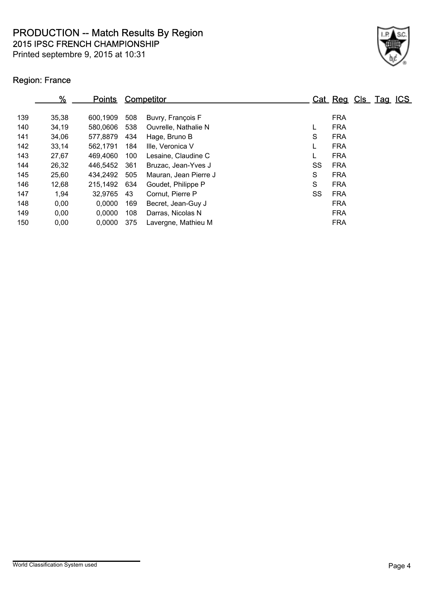Printed septembre 9, 2015 at 10:31



## Region: France

|     | %     | <u>Points</u> |     | <b>Competitor</b>     |    | Cat Reg Cls Tag ICS |  |  |
|-----|-------|---------------|-----|-----------------------|----|---------------------|--|--|
| 139 | 35,38 | 600,1909      | 508 | Buvry, François F     |    | <b>FRA</b>          |  |  |
| 140 | 34,19 | 580,0606      | 538 | Ouvrelle, Nathalie N  |    | <b>FRA</b>          |  |  |
| 141 | 34,06 | 577,8879      | 434 | Hage, Bruno B         | S  | <b>FRA</b>          |  |  |
| 142 | 33,14 | 562,1791      | 184 | Ille, Veronica V      |    | <b>FRA</b>          |  |  |
| 143 | 27,67 | 469,4060      | 100 | Lesaine, Claudine C   |    | <b>FRA</b>          |  |  |
| 144 | 26,32 | 446,5452      | 361 | Bruzac, Jean-Yves J   | SS | <b>FRA</b>          |  |  |
| 145 | 25,60 | 434,2492      | 505 | Mauran, Jean Pierre J | S  | <b>FRA</b>          |  |  |
| 146 | 12,68 | 215,1492 634  |     | Goudet, Philippe P    | S  | <b>FRA</b>          |  |  |
| 147 | 1,94  | 32,9765       | 43  | Cornut, Pierre P      | SS | <b>FRA</b>          |  |  |
| 148 | 0,00  | 0,0000        | 169 | Becret, Jean-Guy J    |    | <b>FRA</b>          |  |  |
| 149 | 0,00  | 0,0000        | 108 | Darras, Nicolas N     |    | <b>FRA</b>          |  |  |
| 150 | 0,00  | 0,0000        | 375 | Lavergne, Mathieu M   |    | <b>FRA</b>          |  |  |
|     |       |               |     |                       |    |                     |  |  |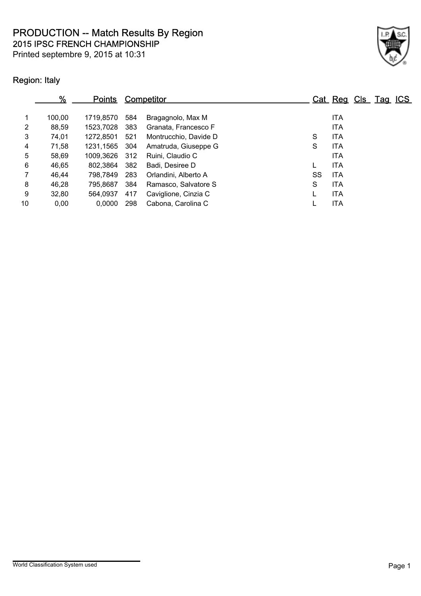Printed septembre 9, 2015 at 10:31



## Region: Italy

|                | %      | <b>Points</b> |     | Competitor            |    | Cat Reg Cls Tag ICS |  |  |
|----------------|--------|---------------|-----|-----------------------|----|---------------------|--|--|
| $\mathbf 1$    | 100,00 | 1719.8570     | 584 | Bragagnolo, Max M     |    | <b>ITA</b>          |  |  |
| $\overline{2}$ | 88,59  | 1523,7028     | 383 | Granata, Francesco F  |    | <b>ITA</b>          |  |  |
| 3              | 74,01  | 1272.8501     | 521 | Montrucchio, Davide D | S  | <b>ITA</b>          |  |  |
| 4              | 71,58  | 1231.1565     | 304 | Amatruda, Giuseppe G  | S  | <b>ITA</b>          |  |  |
| 5              | 58,69  | 1009.3626     | 312 | Ruini, Claudio C      |    | <b>ITA</b>          |  |  |
| 6              | 46.65  | 802,3864      | 382 | Badi. Desiree D       |    | <b>ITA</b>          |  |  |
| $\overline{7}$ | 46.44  | 798.7849      | 283 | Orlandini, Alberto A  | SS | <b>ITA</b>          |  |  |
| 8              | 46.28  | 795.8687      | 384 | Ramasco, Salvatore S  | S  | <b>ITA</b>          |  |  |
| 9              | 32,80  | 564.0937      | 417 | Caviglione, Cinzia C  |    | <b>ITA</b>          |  |  |
| 10             | 0,00   | 0,0000        | 298 | Cabona, Carolina C    |    | <b>ITA</b>          |  |  |
|                |        |               |     |                       |    |                     |  |  |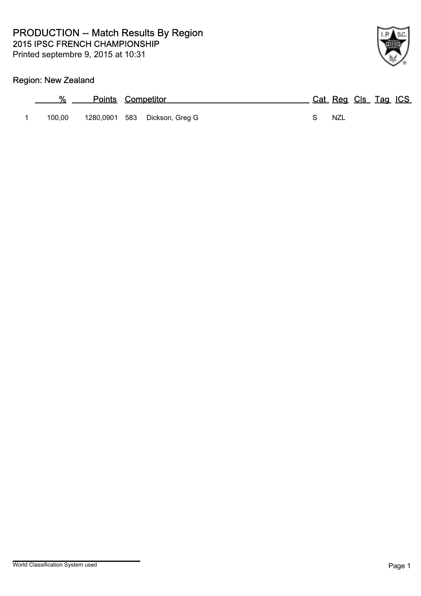# Region: New Zealand

| %      | <b>Points Competitor</b>      | Cat Reg Cls Tag ICS |
|--------|-------------------------------|---------------------|
| 100.00 | 1280,0901 583 Dickson, Greg G | NZL                 |

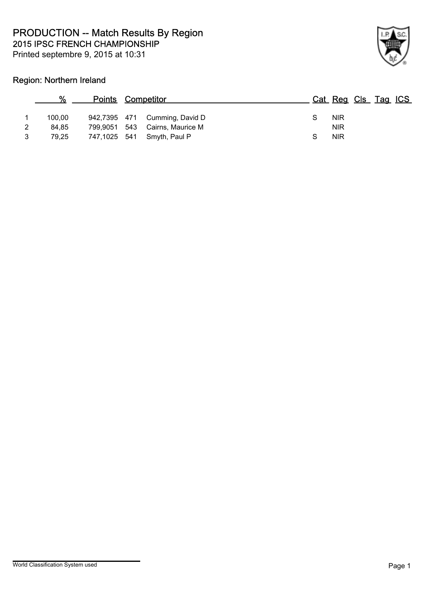

### Region: Northern Ireland

|   | %      | <b>Points Competitor</b> |                                | Cat Reg Cls Tag ICS |  |  |
|---|--------|--------------------------|--------------------------------|---------------------|--|--|
|   | 100.00 |                          | 942,7395 471 Cumming, David D  | <b>NIR</b>          |  |  |
| 2 | 84.85  |                          | 799,9051 543 Cairns, Maurice M | <b>NIR</b>          |  |  |
| 3 | 79.25  |                          | 747,1025 541 Smyth, Paul P     | <b>NIR</b>          |  |  |
|   |        |                          |                                |                     |  |  |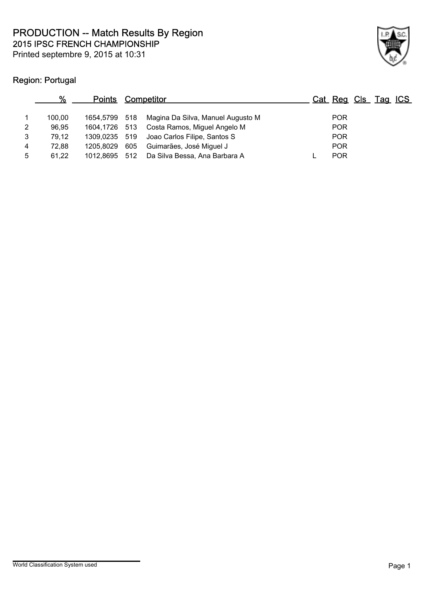

## Region: Portugal

|   | %      | <u>Points</u> |     | <u>Competitor</u>                          | Cat Reg Cls Tag ICS |  |  |
|---|--------|---------------|-----|--------------------------------------------|---------------------|--|--|
|   | 100.00 | 1654.5799 518 |     | Magina Da Silva, Manuel Augusto M          | <b>POR</b>          |  |  |
| 2 | 96.95  |               |     | 1604,1726 513 Costa Ramos, Miguel Angelo M | <b>POR</b>          |  |  |
| 3 | 79.12  | 1309,0235 519 |     | Joao Carlos Filipe, Santos S               | <b>POR</b>          |  |  |
| 4 | 72.88  | 1205.8029     | 605 | Guimarães, José Miguel J                   | <b>POR</b>          |  |  |
| 5 | 61.22  | 1012,8695 512 |     | Da Silva Bessa, Ana Barbara A              | <b>POR</b>          |  |  |
|   |        |               |     |                                            |                     |  |  |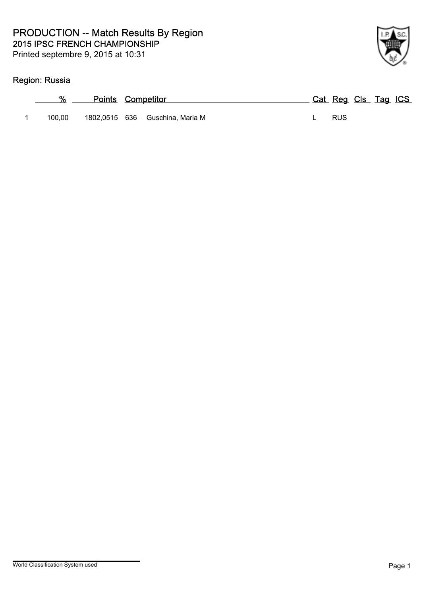## Region: Russia

| %      | <b>Points Competitor</b> |                                 | Cat Reg Cls Tag ICS |  |  |
|--------|--------------------------|---------------------------------|---------------------|--|--|
| 100.00 |                          | 1802,0515 636 Guschina, Maria M | - RUS               |  |  |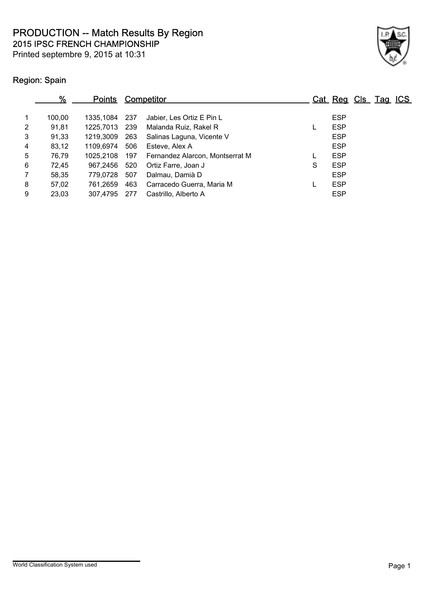Printed septembre 9, 2015 at 10:31



## Region: Spain

|                | %      | <b>Points</b> |     | Competitor                      |   | Cat Reg Cls Tag ICS |  |  |
|----------------|--------|---------------|-----|---------------------------------|---|---------------------|--|--|
| 1              | 100.00 | 1335.1084     | 237 | Jabier, Les Ortiz E Pin L       |   | <b>ESP</b>          |  |  |
| 2              | 91,81  | 1225.7013     | 239 | Malanda Ruiz, Rakel R           |   | <b>ESP</b>          |  |  |
| 3              | 91,33  | 1219.3009     | 263 | Salinas Laguna, Vicente V       |   | <b>ESP</b>          |  |  |
| 4              | 83,12  | 1109.6974     | 506 | Esteve, Alex A                  |   | <b>ESP</b>          |  |  |
| 5              | 76,79  | 1025.2108     | 197 | Fernandez Alarcon, Montserrat M |   | <b>ESP</b>          |  |  |
| 6              | 72,45  | 967.2456      | 520 | Ortiz Farre, Joan J             | S | <b>ESP</b>          |  |  |
| $\overline{7}$ | 58,35  | 779.0728      | 507 | Dalmau, Damià D                 |   | <b>ESP</b>          |  |  |
| 8              | 57,02  | 761.2659      | 463 | Carracedo Guerra, Maria M       |   | <b>ESP</b>          |  |  |
| 9              | 23,03  | 307.4795      | 277 | Castrillo, Alberto A            |   | <b>ESP</b>          |  |  |
|                |        |               |     |                                 |   |                     |  |  |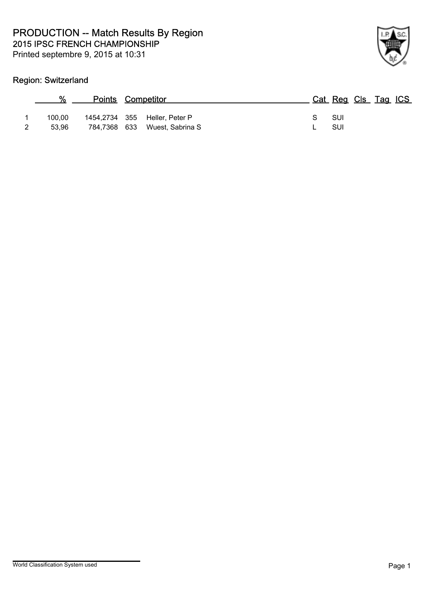

## Region: Switzerland

| <b>Contract Contract</b> | %               | <b>Points Competitor</b> |                                                                |    | Cat Reg Cls Tag ICS |  |  |
|--------------------------|-----------------|--------------------------|----------------------------------------------------------------|----|---------------------|--|--|
|                          | 100.00<br>53.96 |                          | 1454,2734 355 Heller, Peter P<br>784,7368 633 Wuest, Sabrina S | S. | – SUI<br>- SUI      |  |  |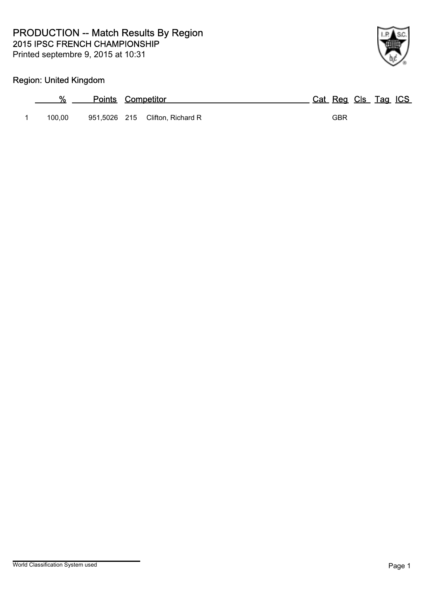

## Region: United Kingdom

| %      | <b>Points Competitor</b> |                                 |  | Cat Reg Cls Tag ICS |  |  |
|--------|--------------------------|---------------------------------|--|---------------------|--|--|
| 100.00 |                          | 951,5026 215 Clifton, Richard R |  | GBR                 |  |  |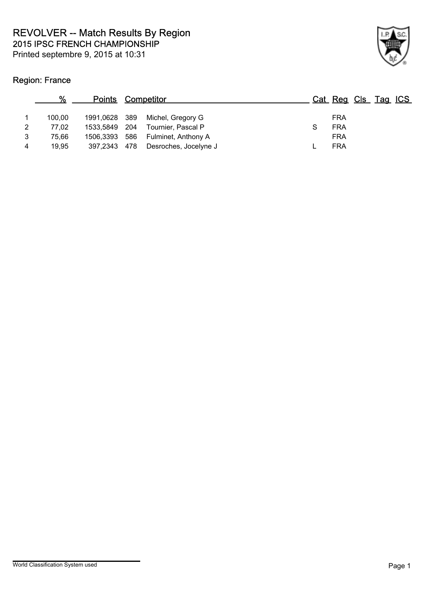## Region: France

|                | %      | <b>Points Competitor</b> |                                   |            | Cat Reg Cls Tag ICS |  |
|----------------|--------|--------------------------|-----------------------------------|------------|---------------------|--|
|                | 100.00 |                          | 1991,0628 389 Michel, Gregory G   | <b>FRA</b> |                     |  |
| 2              | 77,02  | 1533,5849 204            | Tournier, Pascal P                | <b>FRA</b> |                     |  |
| 3              | 75.66  |                          | 1506,3393 586 Fulminet, Anthony A | <b>FRA</b> |                     |  |
| $\overline{4}$ | 19.95  | 397.2343 478             | Desroches, Jocelyne J             | <b>FRA</b> |                     |  |
|                |        |                          |                                   |            |                     |  |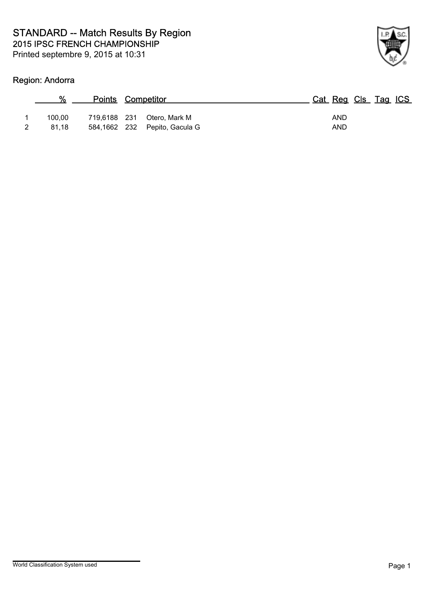

## Region: Andorra

| %      | <b>Points Competitor</b> |                               | Cat Reg Cls Tag ICS |  |
|--------|--------------------------|-------------------------------|---------------------|--|
| 100.00 |                          | 719,6188 231 Otero, Mark M    | <b>AND</b>          |  |
| 81.18  |                          | 584,1662 232 Pepito, Gacula G | AND                 |  |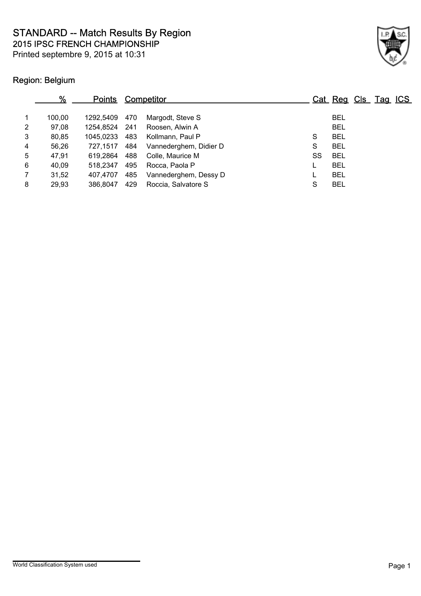2015 IPSC FRENCH CHAMPIONSHIP STANDARD -- Match Results By Region

Printed septembre 9, 2015 at 10:31



## Region: Belgium

|                | %      | <b>Points</b> |     | Competitor             |    | Cat Reg Cls Tag ICS |  |  |
|----------------|--------|---------------|-----|------------------------|----|---------------------|--|--|
| $\mathbf{1}$   | 100.00 | 1292.5409     | 470 | Margodt, Steve S       |    | <b>BEL</b>          |  |  |
| $\overline{2}$ | 97,08  | 1254,8524 241 |     | Roosen, Alwin A        |    | <b>BEL</b>          |  |  |
| 3              | 80,85  | 1045,0233 483 |     | Kollmann, Paul P       | S  | <b>BEL</b>          |  |  |
| 4              | 56,26  | 727.1517      | 484 | Vannederghem, Didier D | S  | <b>BEL</b>          |  |  |
| 5              | 47,91  | 619.2864      | 488 | Colle, Maurice M       | SS | BEL                 |  |  |
| 6              | 40,09  | 518.2347      | 495 | Rocca, Paola P         |    | <b>BEL</b>          |  |  |
| $\overline{7}$ | 31,52  | 407.4707      | 485 | Vannederghem, Dessy D  |    | <b>BEL</b>          |  |  |
| 8              | 29,93  | 386,8047      | 429 | Roccia, Salvatore S    | S  | <b>BEL</b>          |  |  |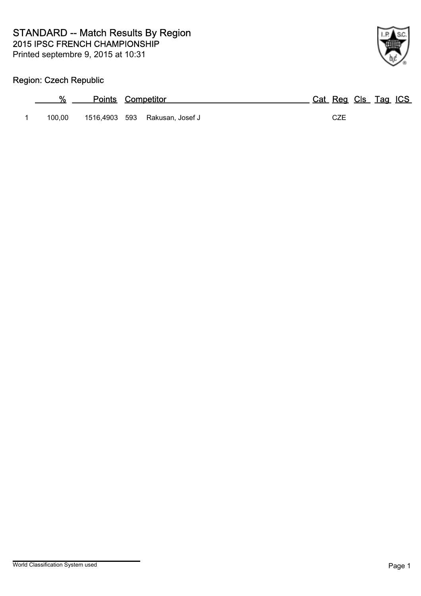

## Region: Czech Republic

| %      | <b>Points Competitor</b> |                                |     | Cat Reg Cls Tag ICS |
|--------|--------------------------|--------------------------------|-----|---------------------|
| 100.00 |                          | 1516,4903 593 Rakusan, Josef J | CZE |                     |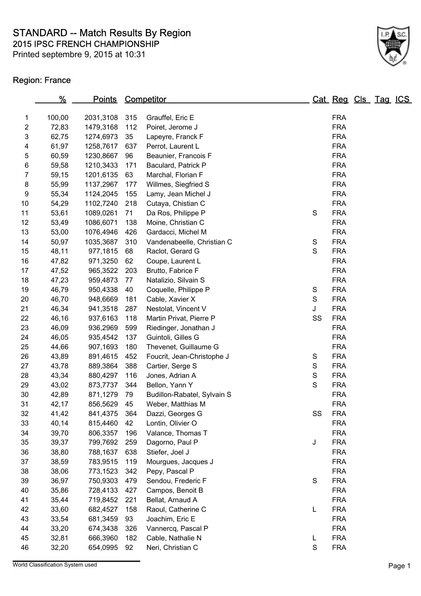2015 IPSC FRENCH CHAMPIONSHIP STANDARD -- Match Results By Region

Printed septembre 9, 2015 at 10:31

## Region: France

|    | %      | <u>Points</u> |     | Competitor                  |               | Cat Reg Cls Tag ICS |  |  |
|----|--------|---------------|-----|-----------------------------|---------------|---------------------|--|--|
| 1  | 100,00 | 2031,3108     | 315 | Grauffel, Eric E            |               | <b>FRA</b>          |  |  |
| 2  | 72,83  | 1479,3168     | 112 | Poiret, Jerome J            |               | <b>FRA</b>          |  |  |
| 3  | 62,75  | 1274,6973     | 35  | Lapeyre, Franck F           |               | <b>FRA</b>          |  |  |
| 4  | 61,97  | 1258,7617     | 637 | Perrot, Laurent L           |               | <b>FRA</b>          |  |  |
| 5  | 60,59  | 1230,8667     | 96  | Beaunier, Francois F        |               | <b>FRA</b>          |  |  |
| 6  | 59,58  | 1210,3433     | 171 | Baculard, Patrick P         |               | <b>FRA</b>          |  |  |
| 7  | 59,15  | 1201,6135     | 63  | Marchal, Florian F          |               | <b>FRA</b>          |  |  |
| 8  | 55,99  | 1137,2967     | 177 | Willmes, Siegfried S        |               | <b>FRA</b>          |  |  |
| 9  | 55,34  | 1124,2045     | 155 | Lamy, Jean Michel J         |               | <b>FRA</b>          |  |  |
| 10 | 54,29  | 1102,7240     | 218 | Cutaya, Chistian C          |               | <b>FRA</b>          |  |  |
| 11 | 53,61  | 1089,0261     | 71  | Da Ros, Philippe P          | $\mathbf S$   | <b>FRA</b>          |  |  |
| 12 | 53,49  | 1086,6071     | 138 | Moine, Christian C          |               | <b>FRA</b>          |  |  |
| 13 | 53,00  | 1076,4946     | 426 | Gardacci, Michel M          |               | <b>FRA</b>          |  |  |
| 14 | 50,97  | 1035,3687     | 310 | Vandenabeelle, Christian C  | $\mathbf S$   | <b>FRA</b>          |  |  |
| 15 | 48,11  | 977,1815      | 68  | Raclot, Gerard G            | S             | <b>FRA</b>          |  |  |
| 16 | 47,82  | 971,3250      | 62  | Coupe, Laurent L            |               | <b>FRA</b>          |  |  |
| 17 | 47,52  | 965,3522      | 203 | Brutto, Fabrice F           |               | <b>FRA</b>          |  |  |
| 18 | 47,23  | 959,4873      | 77  | Natalizio, Silvain S        |               | <b>FRA</b>          |  |  |
| 19 | 46,79  | 950,4338      | 40  | Coquelle, Philippe P        | S             | <b>FRA</b>          |  |  |
| 20 | 46,70  | 948,6669      | 181 | Cable, Xavier X             | $\mathbf S$   | <b>FRA</b>          |  |  |
| 21 | 46,34  | 941,3518      | 287 | Nestolat, Vincent V         | J             | <b>FRA</b>          |  |  |
| 22 | 46,16  | 937,6163      | 118 | Martin Privat, Pierre P     | SS            | <b>FRA</b>          |  |  |
| 23 | 46,09  | 936,2969      | 599 | Riedinger, Jonathan J       |               | <b>FRA</b>          |  |  |
| 24 | 46,05  | 935,4542      | 137 | Guintoli, Gilles G          |               | <b>FRA</b>          |  |  |
| 25 | 44,66  | 907,1693      | 180 | Thevenet, Guillaume G       |               | <b>FRA</b>          |  |  |
| 26 | 43,89  | 891,4615      | 452 | Foucrit, Jean-Christophe J  | S             | <b>FRA</b>          |  |  |
| 27 | 43,78  | 889,3864      | 388 | Cartier, Serge S            | S             | <b>FRA</b>          |  |  |
| 28 | 43,34  | 880,4297      | 116 | Jones, Adrian A             | $\mathbf S$   | <b>FRA</b>          |  |  |
| 29 | 43,02  | 873,7737      | 344 | Bellon, Yann Y              | $\mathbf S$   | <b>FRA</b>          |  |  |
| 30 | 42,89  | 871,1279      | 79  | Budillon-Rabatel, Sylvain S |               | <b>FRA</b>          |  |  |
| 31 | 42,17  | 856,5629      | 45  | Weber, Matthias M           |               | <b>FRA</b>          |  |  |
| 32 | 41,42  | 841,4375      | 364 | Dazzi, Georges G            | SS            | <b>FRA</b>          |  |  |
| 33 | 40,14  | 815,4460      | 42  | Lontin, Olivier O           |               | <b>FRA</b>          |  |  |
| 34 | 39,70  | 806,3357      | 196 | Valance, Thomas T           |               | <b>FRA</b>          |  |  |
| 35 | 39,37  | 799,7692      | 259 | Dagorno, Paul P             | J             | <b>FRA</b>          |  |  |
| 36 | 38,80  | 788,1637      | 638 | Stiefer, Joel J             |               | <b>FRA</b>          |  |  |
| 37 | 38,59  | 783,9515      | 119 | Mourgues, Jacques J         |               | <b>FRA</b>          |  |  |
| 38 | 38,06  | 773,1523      | 342 | Pepy, Pascal P              |               | <b>FRA</b>          |  |  |
| 39 | 36,97  | 750,9303      | 479 | Sendou, Frederic F          | $\mathbf S$   | <b>FRA</b>          |  |  |
| 40 | 35,86  | 728,4133      | 427 | Campos, Benoit B            |               | <b>FRA</b>          |  |  |
| 41 | 35,44  | 719,8452      | 221 | Bellat, Arnaud A            |               | <b>FRA</b>          |  |  |
| 42 | 33,60  | 682,4527      | 158 | Raoul, Catherine C          | L             | <b>FRA</b>          |  |  |
| 43 | 33,54  | 681,3459      | 93  | Joachim, Eric E             |               | <b>FRA</b>          |  |  |
| 44 | 33,20  | 674,3438      | 326 | Vannercq, Pascal P          |               | <b>FRA</b>          |  |  |
| 45 | 32,81  | 666,3960      | 182 | Cable, Nathalie N           | L             | <b>FRA</b>          |  |  |
| 46 | 32,20  | 654,0995      | 92  | Neri, Christian C           | ${\mathsf S}$ | <b>FRA</b>          |  |  |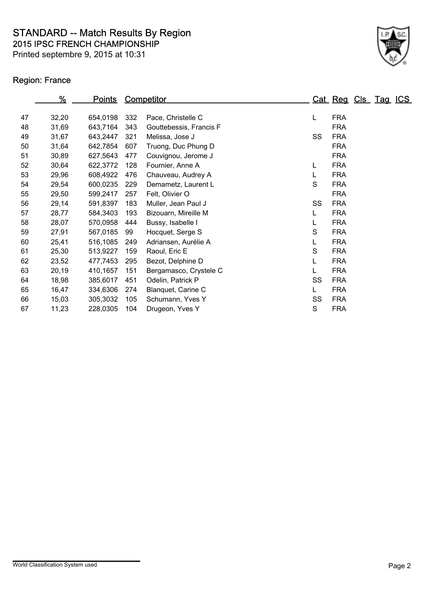2015 IPSC FRENCH CHAMPIONSHIP STANDARD -- Match Results By Region

Printed septembre 9, 2015 at 10:31

## Region: France

|    | %     | <u>Points</u> |     | <b>Competitor</b>       |    | Cat Reg Cls Tag ICS |  |  |
|----|-------|---------------|-----|-------------------------|----|---------------------|--|--|
|    |       |               |     |                         |    |                     |  |  |
| 47 | 32,20 | 654,0198      | 332 | Pace, Christelle C      | L  | <b>FRA</b>          |  |  |
| 48 | 31,69 | 643,7164      | 343 | Gouttebessis, Francis F |    | <b>FRA</b>          |  |  |
| 49 | 31,67 | 643,2447      | 321 | Melissa, Jose J         | SS | <b>FRA</b>          |  |  |
| 50 | 31,64 | 642,7854      | 607 | Truong, Duc Phung D     |    | <b>FRA</b>          |  |  |
| 51 | 30,89 | 627,5643      | 477 | Couvignou, Jerome J     |    | <b>FRA</b>          |  |  |
| 52 | 30,64 | 622,3772      | 128 | Fournier, Anne A        | L  | <b>FRA</b>          |  |  |
| 53 | 29,96 | 608,4922      | 476 | Chauveau, Audrey A      | L  | <b>FRA</b>          |  |  |
| 54 | 29,54 | 600,0235      | 229 | Demametz, Laurent L     | S  | <b>FRA</b>          |  |  |
| 55 | 29,50 | 599,2417      | 257 | Felt, Olivier O         |    | <b>FRA</b>          |  |  |
| 56 | 29,14 | 591,8397      | 183 | Muller, Jean Paul J     | SS | <b>FRA</b>          |  |  |
| 57 | 28,77 | 584,3403      | 193 | Bizouarn, Mireille M    | L  | <b>FRA</b>          |  |  |
| 58 | 28,07 | 570,0958      | 444 | Bussy, Isabelle I       | L  | <b>FRA</b>          |  |  |
| 59 | 27,91 | 567,0185      | 99  | Hocquet, Serge S        | S  | <b>FRA</b>          |  |  |
| 60 | 25,41 | 516,1085      | 249 | Adriansen, Aurélie A    | L  | <b>FRA</b>          |  |  |
| 61 | 25,30 | 513,9227      | 159 | Raoul, Eric E           | S  | <b>FRA</b>          |  |  |
| 62 | 23,52 | 477,7453      | 295 | Bezot, Delphine D       | L  | <b>FRA</b>          |  |  |
| 63 | 20,19 | 410,1657      | 151 | Bergamasco, Crystele C  | L  | <b>FRA</b>          |  |  |
| 64 | 18,98 | 385,6017      | 451 | Odelin, Patrick P       | SS | <b>FRA</b>          |  |  |
| 65 | 16,47 | 334,6306      | 274 | Blanquet, Carine C      | L  | <b>FRA</b>          |  |  |
| 66 | 15,03 | 305,3032      | 105 | Schumann, Yves Y        | SS | <b>FRA</b>          |  |  |
| 67 | 11,23 | 228,0305      | 104 | Drugeon, Yves Y         | S  | <b>FRA</b>          |  |  |
|    |       |               |     |                         |    |                     |  |  |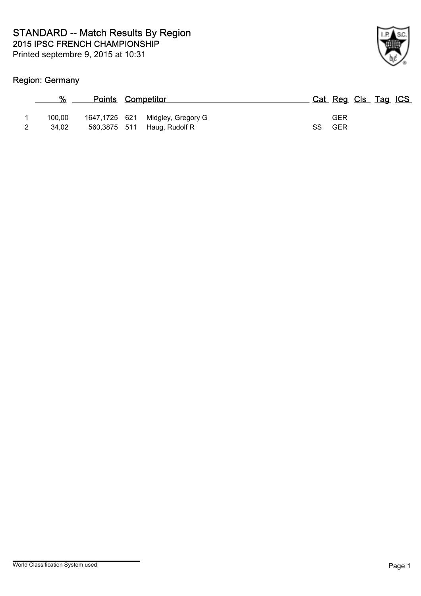

## Region: Germany

| ℀               | <b>Points Competitor</b> |                                                                 |                         | Cat Reg Cls Tag ICS |  |
|-----------------|--------------------------|-----------------------------------------------------------------|-------------------------|---------------------|--|
| 100.00<br>34.02 |                          | 1647,1725 621 Midgley, Gregory G<br>560,3875 511 Haug, Rudolf R | GER<br><b>GER</b><br>SS |                     |  |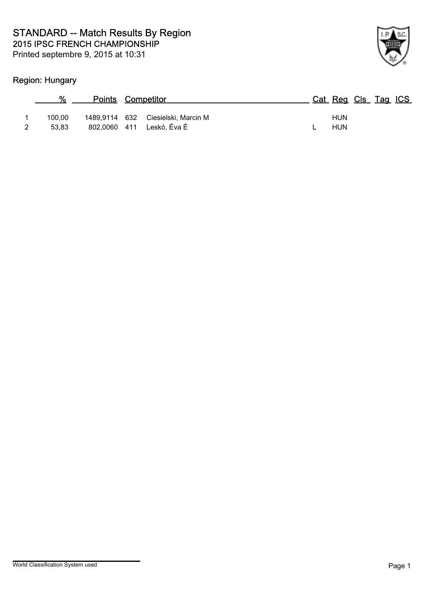

## Region: Hungary

|   | %      | <b>Points Competitor</b> |                                    |  | Cat Reg Cls Tag ICS |  |  |
|---|--------|--------------------------|------------------------------------|--|---------------------|--|--|
|   | 100.00 |                          | 1489,9114 632 Ciesielski, Marcin M |  | <b>HUN</b>          |  |  |
| 2 | 53.83  |                          | 802,0060 411 Leskó, Éva É          |  | <b>HUN</b>          |  |  |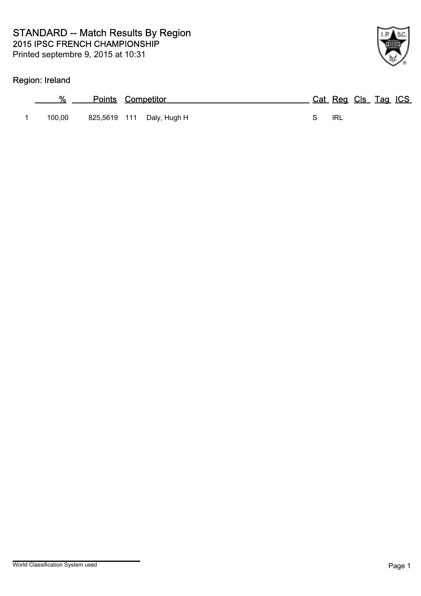## Region: Ireland

| %      | <b>Points Competitor</b>  |     | Cat Reg Cls Tag ICS |
|--------|---------------------------|-----|---------------------|
| 100.00 | 825,5619 111 Daly, Hugh H | IRL |                     |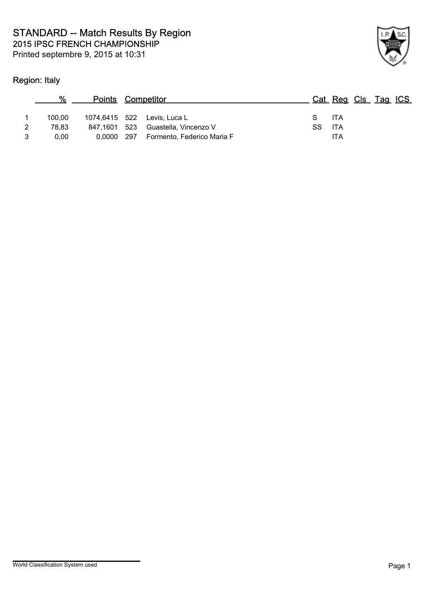## Region: Italy



| %      | <b>Points Competitor</b> |                             |    | Cat Reg Cls Tag ICS |  |  |
|--------|--------------------------|-----------------------------|----|---------------------|--|--|
| 100.00 |                          | 1074,6415 522 Levis, Luca L |    | S ITA               |  |  |
| 78.83  | 847,1601 523             | Guastella, Vincenzo V       | SS | - ITA               |  |  |
| 0.00   | 0,0000 297               | Formento, Federico Maria F  |    | ITA                 |  |  |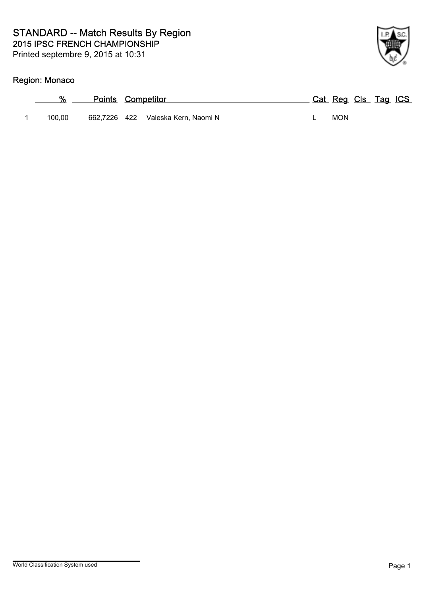## Region: Monaco

| %      | <b>Points Competitor</b> |                       | Cat Reg Cls Tag ICS |  |  |
|--------|--------------------------|-----------------------|---------------------|--|--|
| 100.00 | 662.7226 422             | Valeska Kern, Naomi N | <b>MON</b>          |  |  |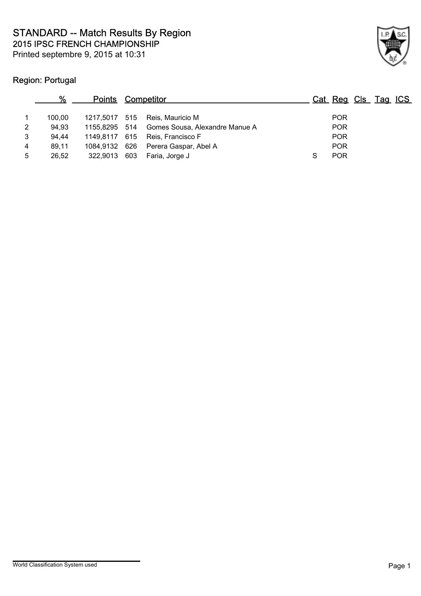

## Region: Portugal

|   |        | <b>Points Competitor</b> |                                              |            | Cat Reg Cls Tag ICS |
|---|--------|--------------------------|----------------------------------------------|------------|---------------------|
|   | 100.00 |                          | 1217,5017 515 Reis, Mauricio M               | <b>POR</b> |                     |
| 2 | 94.93  |                          | 1155,8295 514 Gomes Sousa, Alexandre Manue A | <b>POR</b> |                     |
| 3 | 94.44  |                          | 1149,8117 615 Reis, Francisco F              | <b>POR</b> |                     |
| 4 | 89.11  |                          | 1084,9132 626 Perera Gaspar, Abel A          | <b>POR</b> |                     |
| 5 | 26,52  | 322,9013 603             | Faria, Jorge J                               | <b>POR</b> |                     |
|   |        |                          |                                              |            |                     |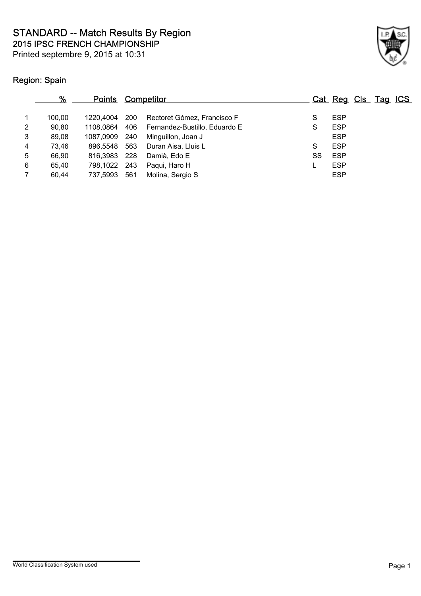2015 IPSC FRENCH CHAMPIONSHIP STANDARD -- Match Results By Region

Printed septembre 9, 2015 at 10:31



## Region: Spain

|                | %      | <b>Points</b> |     | Competitor                                  |    | Cat Reg Cls Tag ICS |  |  |
|----------------|--------|---------------|-----|---------------------------------------------|----|---------------------|--|--|
| 1              | 100.00 | 1220.4004     | 200 | Rectoret Gómez, Francisco F                 | S  | <b>ESP</b>          |  |  |
| 2              | 90,80  |               |     | 1108,0864 406 Fernandez-Bustillo, Eduardo E | S  | <b>ESP</b>          |  |  |
| $\mathbf{3}$   | 89,08  | 1087.0909     | 240 | Minguillon, Joan J                          |    | <b>ESP</b>          |  |  |
| 4              | 73,46  | 896.5548      | 563 | Duran Aisa, Lluis L                         | S  | <b>ESP</b>          |  |  |
| 5              | 66,90  | 816,3983 228  |     | Damià, Edo E                                | SS | <b>ESP</b>          |  |  |
| 6              | 65.40  | 798,1022 243  |     | Paqui, Haro H                               |    | <b>ESP</b>          |  |  |
| $\overline{7}$ | 60,44  | 737,5993      | 561 | Molina, Sergio S                            |    | <b>ESP</b>          |  |  |
|                |        |               |     |                                             |    |                     |  |  |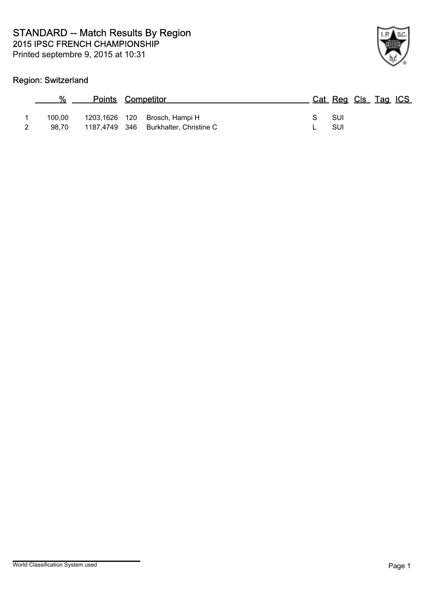## Region: Switzerland

| %               | <b>Points Competitor</b> |                                                                        | Cat Reg Cls Tag ICS |  |  |
|-----------------|--------------------------|------------------------------------------------------------------------|---------------------|--|--|
| 100.00<br>98.70 |                          | 1203,1626 120 Brosch, Hampi H<br>1187,4749 346 Burkhalter, Christine C | – SUI<br>-SUI       |  |  |